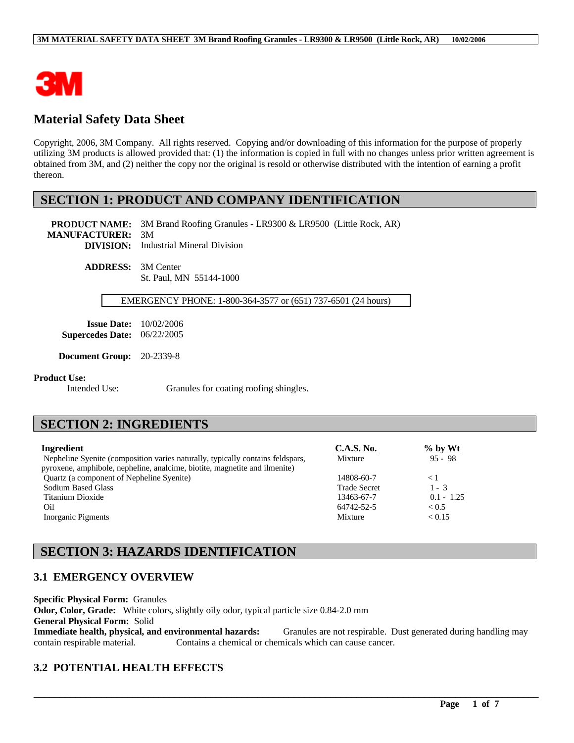

# **Material Safety Data Sheet**

Copyright, 2006, 3M Company. All rights reserved. Copying and/or downloading of this information for the purpose of properly utilizing 3M products is allowed provided that: (1) the information is copied in full with no changes unless prior written agreement is obtained from 3M, and (2) neither the copy nor the original is resold or otherwise distributed with the intention of earning a profit thereon.

## **SECTION 1: PRODUCT AND COMPANY IDENTIFICATION**

**PRODUCT NAME:** 3M Brand Roofing Granules - LR9300 & LR9500 (Little Rock, AR) **MANUFACTURER:** 3M **DIVISION:** Industrial Mineral Division

> **ADDRESS:** 3M Center St. Paul, MN 55144-1000

### EMERGENCY PHONE: 1-800-364-3577 or (651) 737-6501 (24 hours)

**Issue Date:** 10/02/2006 **Supercedes Date:** 06/22/2005

**Document Group:** 20-2339-8

#### **Product Use:**

Intended Use: Granules for coating roofing shingles.

## **SECTION 2: INGREDIENTS**

| Ingredient                                                                     | <b>C.A.S. No.</b>   | $%$ by Wt    |
|--------------------------------------------------------------------------------|---------------------|--------------|
| Nepheline Syenite (composition varies naturally, typically contains feldspars, | Mixture             | $95 - 98$    |
| pyroxene, amphibole, nepheline, analcime, biotite, magnetite and ilmenite)     |                     |              |
| Quartz (a component of Nepheline Syenite)                                      | 14808-60-7          | $\leq 1$     |
| <b>Sodium Based Glass</b>                                                      | <b>Trade Secret</b> | $1 - 3$      |
| Titanium Dioxide                                                               | 13463-67-7          | $0.1 - 1.25$ |
| Oil                                                                            | 64742-52-5          | < 0.5        |
| Inorganic Pigments                                                             | Mixture             | < 0.15       |

# **SECTION 3: HAZARDS IDENTIFICATION**

### **3.1 EMERGENCY OVERVIEW**

**Specific Physical Form:** Granules **Odor, Color, Grade:** White colors, slightly oily odor, typical particle size 0.84-2.0 mm **General Physical Form:** Solid **Immediate health, physical, and environmental hazards:** Granules are not respirable. Dust generated during handling may contain respirable material. Contains a chemical or chemicals which can cause cancer.

\_\_\_\_\_\_\_\_\_\_\_\_\_\_\_\_\_\_\_\_\_\_\_\_\_\_\_\_\_\_\_\_\_\_\_\_\_\_\_\_\_\_\_\_\_\_\_\_\_\_\_\_\_\_\_\_\_\_\_\_\_\_\_\_\_\_\_\_\_\_\_\_\_\_\_\_\_\_\_\_\_\_\_\_\_\_\_\_\_\_\_\_\_\_\_\_\_

## **3.2 POTENTIAL HEALTH EFFECTS**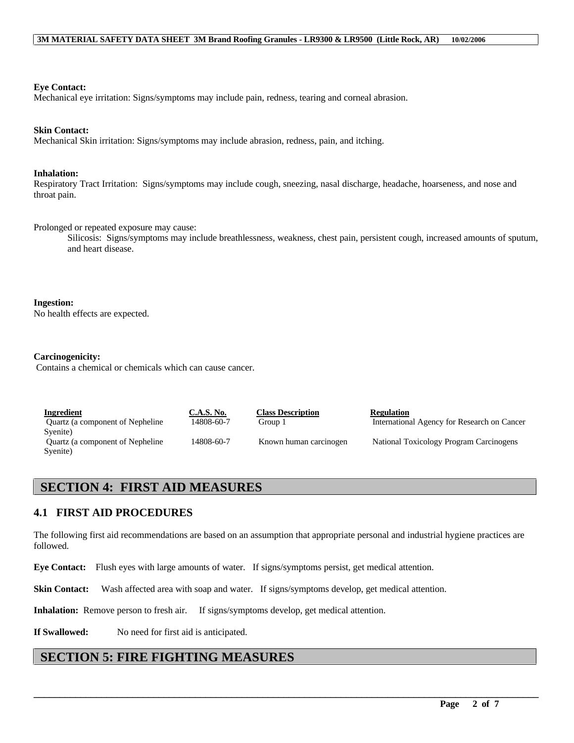**Eye Contact:**

Mechanical eye irritation: Signs/symptoms may include pain, redness, tearing and corneal abrasion.

#### **Skin Contact:**

Mechanical Skin irritation: Signs/symptoms may include abrasion, redness, pain, and itching.

#### **Inhalation:**

Respiratory Tract Irritation: Signs/symptoms may include cough, sneezing, nasal discharge, headache, hoarseness, and nose and throat pain.

Prolonged or repeated exposure may cause:

Silicosis: Signs/symptoms may include breathlessness, weakness, chest pain, persistent cough, increased amounts of sputum, and heart disease.

#### **Ingestion:**

No health effects are expected.

#### **Carcinogenicity:**

Contains a chemical or chemicals which can cause cancer.

| Ingredient                       | <b>C.A.S. No.</b> |
|----------------------------------|-------------------|
| Quartz (a component of Nepheline | 14808-60-         |
| Syenite)                         |                   |
| Quartz (a component of Nepheline | 14808-60-         |
| Syenite)                         |                   |

**I**<br> **I**<br> **Internation**<br> **Internation** 

Group 1 International Agency for Research on Cancer

7 Known human carcinogen National Toxicology Program Carcinogens

## **SECTION 4: FIRST AID MEASURES**

### **4.1 FIRST AID PROCEDURES**

The following first aid recommendations are based on an assumption that appropriate personal and industrial hygiene practices are followed.

\_\_\_\_\_\_\_\_\_\_\_\_\_\_\_\_\_\_\_\_\_\_\_\_\_\_\_\_\_\_\_\_\_\_\_\_\_\_\_\_\_\_\_\_\_\_\_\_\_\_\_\_\_\_\_\_\_\_\_\_\_\_\_\_\_\_\_\_\_\_\_\_\_\_\_\_\_\_\_\_\_\_\_\_\_\_\_\_\_\_\_\_\_\_\_\_\_

**Eye Contact:** Flush eyes with large amounts of water. If signs/symptoms persist, get medical attention.

**Skin Contact:** Wash affected area with soap and water. If signs/symptoms develop, get medical attention.

**Inhalation:** Remove person to fresh air. If signs/symptoms develop, get medical attention.

**If Swallowed:** No need for first aid is anticipated.

## **SECTION 5: FIRE FIGHTING MEASURES**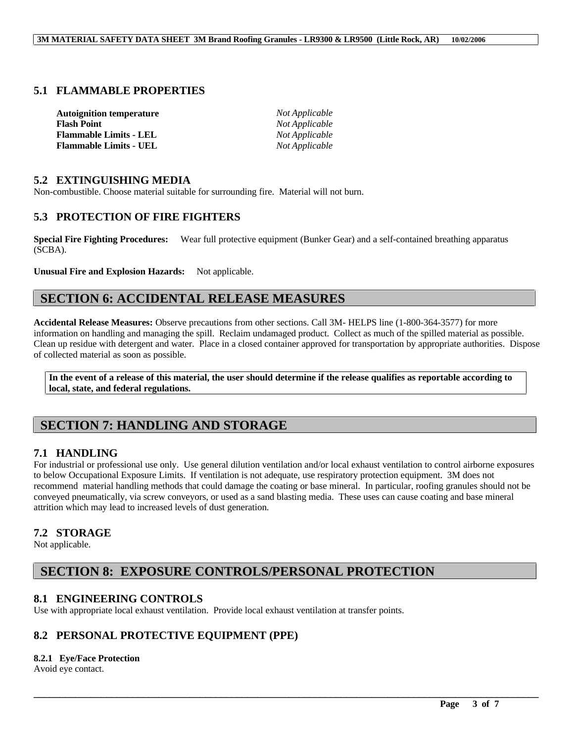### **5.1 FLAMMABLE PROPERTIES**

| <b>Autoignition temperature</b> | Not Applicable        |
|---------------------------------|-----------------------|
| <b>Flash Point</b>              | <i>Not Applicable</i> |
| <b>Flammable Limits - LEL</b>   | Not Applicable        |
| <b>Flammable Limits - UEL</b>   | Not Applicable        |

### **5.2 EXTINGUISHING MEDIA**

Non-combustible. Choose material suitable for surrounding fire. Material will not burn.

### **5.3 PROTECTION OF FIRE FIGHTERS**

**Special Fire Fighting Procedures:** Wear full protective equipment (Bunker Gear) and a self-contained breathing apparatus (SCBA).

Unusual Fire and Explosion Hazards: Not applicable.

## **SECTION 6: ACCIDENTAL RELEASE MEASURES**

**Accidental Release Measures:** Observe precautions from other sections. Call 3M- HELPS line (1-800-364-3577) for more information on handling and managing the spill. Reclaim undamaged product. Collect as much of the spilled material as possible. Clean up residue with detergent and water. Place in a closed container approved for transportation by appropriate authorities. Dispose of collected material as soon as possible.

**In the event of a release of this material, the user should determine if the release qualifies as reportable according to local, state, and federal regulations.**

# **SECTION 7: HANDLING AND STORAGE**

### **7.1 HANDLING**

For industrial or professional use only. Use general dilution ventilation and/or local exhaust ventilation to control airborne exposures to below Occupational Exposure Limits. If ventilation is not adequate, use respiratory protection equipment. 3M does not recommend material handling methods that could damage the coating or base mineral. In particular, roofing granules should not be conveyed pneumatically, via screw conveyors, or used as a sand blasting media. These uses can cause coating and base mineral attrition which may lead to increased levels of dust generation.

\_\_\_\_\_\_\_\_\_\_\_\_\_\_\_\_\_\_\_\_\_\_\_\_\_\_\_\_\_\_\_\_\_\_\_\_\_\_\_\_\_\_\_\_\_\_\_\_\_\_\_\_\_\_\_\_\_\_\_\_\_\_\_\_\_\_\_\_\_\_\_\_\_\_\_\_\_\_\_\_\_\_\_\_\_\_\_\_\_\_\_\_\_\_\_\_\_

### **7.2 STORAGE**

Not applicable.

# **SECTION 8: EXPOSURE CONTROLS/PERSONAL PROTECTION**

### **8.1 ENGINEERING CONTROLS**

Use with appropriate local exhaust ventilation. Provide local exhaust ventilation at transfer points.

## **8.2 PERSONAL PROTECTIVE EQUIPMENT (PPE)**

#### **8.2.1 Eye/Face Protection**

Avoid eye contact.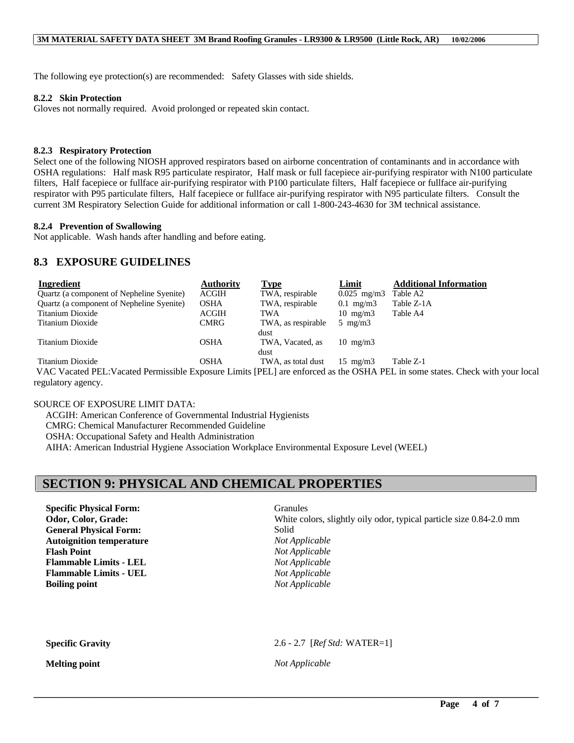The following eye protection(s) are recommended: Safety Glasses with side shields.

#### **8.2.2 Skin Protection**

Gloves not normally required. Avoid prolonged or repeated skin contact.

#### **8.2.3 Respiratory Protection**

Select one of the following NIOSH approved respirators based on airborne concentration of contaminants and in accordance with OSHA regulations: Half mask R95 particulate respirator, Half mask or full facepiece air-purifying respirator with N100 particulate filters, Half facepiece or fullface air-purifying respirator with P100 particulate filters, Half facepiece or fullface air-purifying respirator with P95 particulate filters, Half facepiece or fullface air-purifying respirator with N95 particulate filters. Consult the current 3M Respiratory Selection Guide for additional information or call 1-800-243-4630 for 3M technical assistance.

#### **8.2.4 Prevention of Swallowing**

Not applicable. Wash hands after handling and before eating.

### **8.3 EXPOSURE GUIDELINES**

| Ingredient                                                                                                                    | <b>Authority</b> | <b>Type</b>        | Limit             | <b>Additional Information</b> |
|-------------------------------------------------------------------------------------------------------------------------------|------------------|--------------------|-------------------|-------------------------------|
| Quartz (a component of Nepheline Syenite)                                                                                     | <b>ACGIH</b>     | TWA, respirable    | $0.025$ mg/m3     | Table A2                      |
| Quartz (a component of Nepheline Syenite)                                                                                     | OSHA             | TWA, respirable    | $0.1$ mg/m $3$    | Table Z-1A                    |
| Titanium Dioxide                                                                                                              | <b>ACGIH</b>     | TWA                | $10 \text{ mg/m}$ | Table A4                      |
| Titanium Dioxide                                                                                                              | <b>CMRG</b>      | TWA, as respirable | $5 \text{ mg/m}$  |                               |
|                                                                                                                               |                  | dust               |                   |                               |
| Titanium Dioxide                                                                                                              | <b>OSHA</b>      | TWA, Vacated, as   | $10 \text{ mg/m}$ |                               |
|                                                                                                                               |                  | dust               |                   |                               |
| Titanium Dioxide                                                                                                              | <b>OSHA</b>      | TWA, as total dust | $15 \text{ mg/m}$ | Table Z-1                     |
| VAC Vessted DEL Vessted Demissible Experience Limits (DEL) are enforced as the OCUA DEL in some states. Charlesvith way loose |                  |                    |                   |                               |

 VAC Vacated PEL:Vacated Permissible Exposure Limits [PEL] are enforced as the OSHA PEL in some states. Check with your local regulatory agency.

### SOURCE OF EXPOSURE LIMIT DATA:

ACGIH: American Conference of Governmental Industrial Hygienists

CMRG: Chemical Manufacturer Recommended Guideline

OSHA: Occupational Safety and Health Administration

AIHA: American Industrial Hygiene Association Workplace Environmental Exposure Level (WEEL)

## **SECTION 9: PHYSICAL AND CHEMICAL PROPERTIES**

**Specific Physical Form:** Granules **General Physical Form:** Solid **Autoignition temperature** *Not Applicable* **Flash Point** *Not Applicable* **Flammable Limits - LEL** *Not Applicable* **Flammable Limits - UEL** *Not Applicable* **Boiling point** *Not Applicable*

**Odor, Color, Grade:** White colors, slightly oily odor, typical particle size 0.84-2.0 mm

**Specific Gravity** 2.6 - 2.7 [*Ref Std:* WATER=1]

**Melting point** *Not Applicable*

\_\_\_\_\_\_\_\_\_\_\_\_\_\_\_\_\_\_\_\_\_\_\_\_\_\_\_\_\_\_\_\_\_\_\_\_\_\_\_\_\_\_\_\_\_\_\_\_\_\_\_\_\_\_\_\_\_\_\_\_\_\_\_\_\_\_\_\_\_\_\_\_\_\_\_\_\_\_\_\_\_\_\_\_\_\_\_\_\_\_\_\_\_\_\_\_\_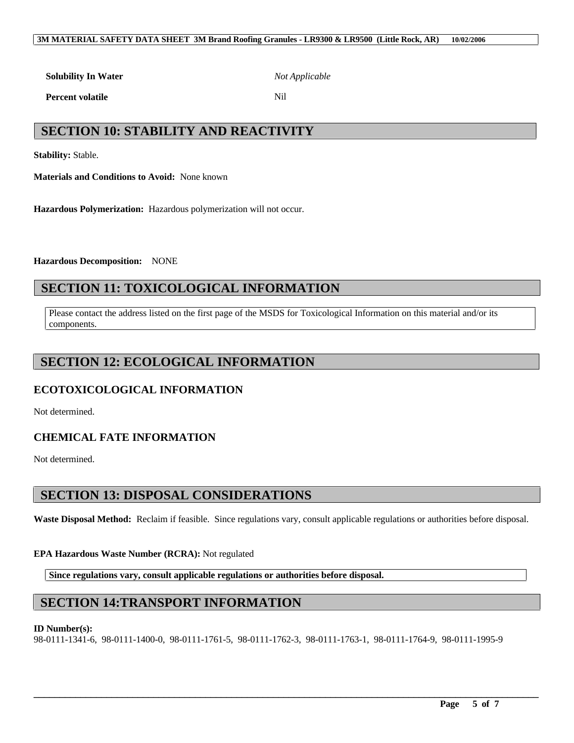#### **3M MATERIAL SAFETY DATA SHEET 3M Brand Roofing Granules - LR9300 & LR9500 (Little Rock, AR) 10/02/2006**

**Solubility In Water** *Not Applicable*

**Percent volatile** Nil

# **SECTION 10: STABILITY AND REACTIVITY**

**Stability:** Stable.

**Materials and Conditions to Avoid:** None known

**Hazardous Polymerization:** Hazardous polymerization will not occur.

**Hazardous Decomposition:** NONE

# **SECTION 11: TOXICOLOGICAL INFORMATION**

Please contact the address listed on the first page of the MSDS for Toxicological Information on this material and/or its components.

# **SECTION 12: ECOLOGICAL INFORMATION**

## **ECOTOXICOLOGICAL INFORMATION**

Not determined.

## **CHEMICAL FATE INFORMATION**

Not determined.

## **SECTION 13: DISPOSAL CONSIDERATIONS**

**Waste Disposal Method:** Reclaim if feasible. Since regulations vary, consult applicable regulations or authorities before disposal.

### **EPA Hazardous Waste Number (RCRA):** Not regulated

**Since regulations vary, consult applicable regulations or authorities before disposal.**

# **SECTION 14:TRANSPORT INFORMATION**

### **ID Number(s):**

98-0111-1341-6, 98-0111-1400-0, 98-0111-1761-5, 98-0111-1762-3, 98-0111-1763-1, 98-0111-1764-9, 98-0111-1995-9

\_\_\_\_\_\_\_\_\_\_\_\_\_\_\_\_\_\_\_\_\_\_\_\_\_\_\_\_\_\_\_\_\_\_\_\_\_\_\_\_\_\_\_\_\_\_\_\_\_\_\_\_\_\_\_\_\_\_\_\_\_\_\_\_\_\_\_\_\_\_\_\_\_\_\_\_\_\_\_\_\_\_\_\_\_\_\_\_\_\_\_\_\_\_\_\_\_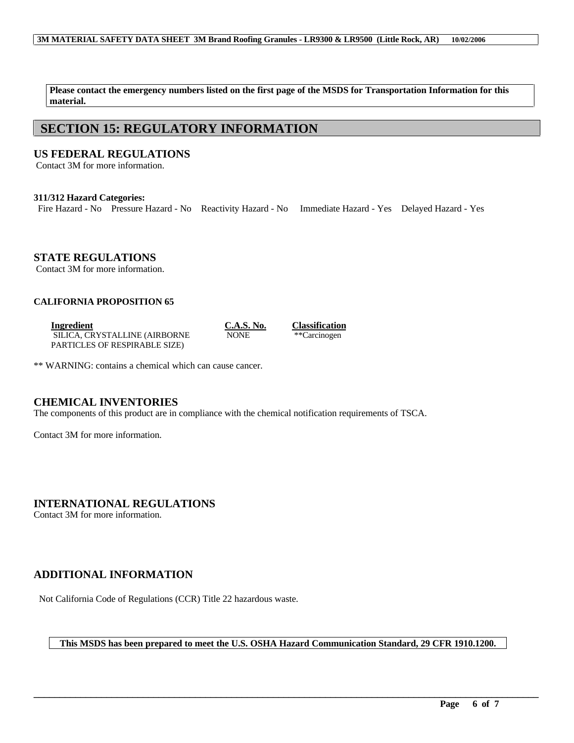#### **3M MATERIAL SAFETY DATA SHEET 3M Brand Roofing Granules - LR9300 & LR9500 (Little Rock, AR) 10/02/2006**

**Please contact the emergency numbers listed on the first page of the MSDS for Transportation Information for this material.**

## **SECTION 15: REGULATORY INFORMATION**

### **US FEDERAL REGULATIONS**

Contact 3M for more information.

#### **311/312 Hazard Categories:**

Fire Hazard - No Pressure Hazard - No Reactivity Hazard - No Immediate Hazard - Yes Delayed Hazard - Yes

**STATE REGULATIONS**

Contact 3M for more information.

### **CALIFORNIA PROPOSITION 65**

**Ingredient C.A.S. No. Classification** SILICA, CRYSTALLINE (AIRBORNE PARTICLES OF RESPIRABLE SIZE)

NONE \*\* Carcinogen

\*\* WARNING: contains a chemical which can cause cancer.

### **CHEMICAL INVENTORIES**

The components of this product are in compliance with the chemical notification requirements of TSCA.

Contact 3M for more information.

**INTERNATIONAL REGULATIONS**

Contact 3M for more information.

## **ADDITIONAL INFORMATION**

Not California Code of Regulations (CCR) Title 22 hazardous waste.

#### **This MSDS has been prepared to meet the U.S. OSHA Hazard Communication Standard, 29 CFR 1910.1200.**

\_\_\_\_\_\_\_\_\_\_\_\_\_\_\_\_\_\_\_\_\_\_\_\_\_\_\_\_\_\_\_\_\_\_\_\_\_\_\_\_\_\_\_\_\_\_\_\_\_\_\_\_\_\_\_\_\_\_\_\_\_\_\_\_\_\_\_\_\_\_\_\_\_\_\_\_\_\_\_\_\_\_\_\_\_\_\_\_\_\_\_\_\_\_\_\_\_